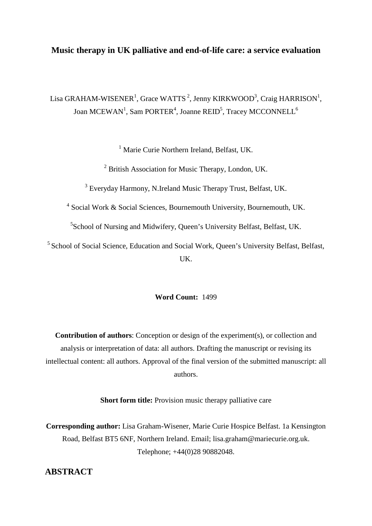## **Music therapy in UK palliative and end-of-life care: a service evaluation**

Lisa GRAHAM-WISENER<sup>1</sup>, Grace WATTS<sup>2</sup>, Jenny KIRKWOOD<sup>3</sup>, Craig HARRISON<sup>1</sup>, Joan MCEWAN<sup>1</sup>, Sam PORTER<sup>4</sup>, Joanne REID<sup>5</sup>, Tracey MCCONNELL<sup>6</sup>

<sup>1</sup> Marie Curie Northern Ireland, Belfast, UK.

<sup>2</sup> British Association for Music Therapy, London, UK.

<sup>3</sup> Everyday Harmony, N.Ireland Music Therapy Trust, Belfast, UK.

<sup>4</sup> Social Work & Social Sciences, Bournemouth University, Bournemouth, UK.

<sup>5</sup>School of Nursing and Midwifery, Queen's University Belfast, Belfast, UK.

<sup>5</sup> School of Social Science, Education and Social Work, Queen's University Belfast, Belfast, UK.

### **Word Count:** 1499

**Contribution of authors**: Conception or design of the experiment(s), or collection and analysis or interpretation of data: all authors. Drafting the manuscript or revising its intellectual content: all authors. Approval of the final version of the submitted manuscript: all authors.

**Short form title:** Provision music therapy palliative care

**Corresponding author:** Lisa Graham-Wisener, Marie Curie Hospice Belfast. 1a Kensington Road, Belfast BT5 6NF, Northern Ireland. Email; lisa.graham@mariecurie.org.uk. Telephone; +44(0)28 90882048.

# **ABSTRACT**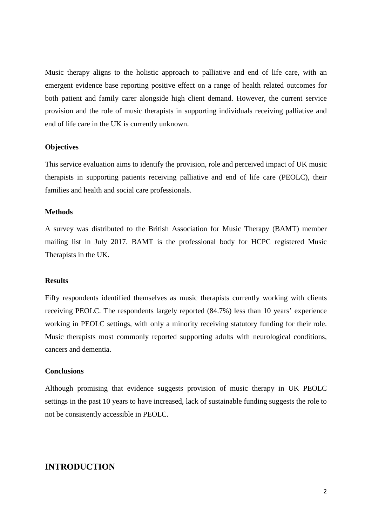Music therapy aligns to the holistic approach to palliative and end of life care, with an emergent evidence base reporting positive effect on a range of health related outcomes for both patient and family carer alongside high client demand. However, the current service provision and the role of music therapists in supporting individuals receiving palliative and end of life care in the UK is currently unknown.

#### **Objectives**

This service evaluation aims to identify the provision, role and perceived impact of UK music therapists in supporting patients receiving palliative and end of life care (PEOLC), their families and health and social care professionals.

#### **Methods**

A survey was distributed to the British Association for Music Therapy (BAMT) member mailing list in July 2017. BAMT is the professional body for HCPC registered Music Therapists in the UK.

### **Results**

Fifty respondents identified themselves as music therapists currently working with clients receiving PEOLC. The respondents largely reported (84.7%) less than 10 years' experience working in PEOLC settings, with only a minority receiving statutory funding for their role. Music therapists most commonly reported supporting adults with neurological conditions, cancers and dementia.

#### **Conclusions**

Although promising that evidence suggests provision of music therapy in UK PEOLC settings in the past 10 years to have increased, lack of sustainable funding suggests the role to not be consistently accessible in PEOLC.

## **INTRODUCTION**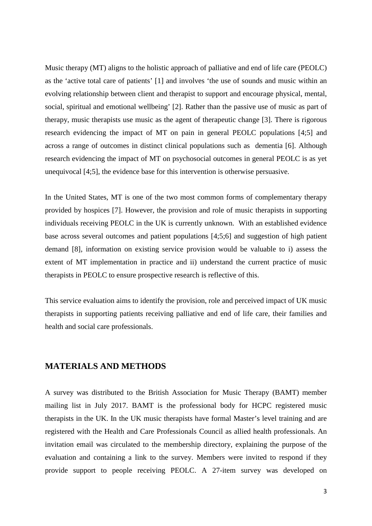Music therapy (MT) aligns to the holistic approach of palliative and end of life care (PEOLC) as the 'active total care of patients' [1] and involves 'the use of sounds and music within an evolving relationship between client and therapist to support and encourage physical, mental, social, spiritual and emotional wellbeing' [2]. Rather than the passive use of music as part of therapy, music therapists use music as the agent of therapeutic change [3]. There is rigorous research evidencing the impact of MT on pain in general PEOLC populations [4;5] and across a range of outcomes in distinct clinical populations such as dementia [6]. Although research evidencing the impact of MT on psychosocial outcomes in general PEOLC is as yet unequivocal [4;5], the evidence base for this intervention is otherwise persuasive.

In the United States, MT is one of the two most common forms of complementary therapy provided by hospices [7]. However, the provision and role of music therapists in supporting individuals receiving PEOLC in the UK is currently unknown. With an established evidence base across several outcomes and patient populations [4;5;6] and suggestion of high patient demand [8], information on existing service provision would be valuable to i) assess the extent of MT implementation in practice and ii) understand the current practice of music therapists in PEOLC to ensure prospective research is reflective of this.

This service evaluation aims to identify the provision, role and perceived impact of UK music therapists in supporting patients receiving palliative and end of life care, their families and health and social care professionals.

## **MATERIALS AND METHODS**

A survey was distributed to the British Association for Music Therapy (BAMT) member mailing list in July 2017. BAMT is the professional body for HCPC registered music therapists in the UK. In the UK music therapists have formal Master's level training and are registered with the Health and Care Professionals Council as allied health professionals. An invitation email was circulated to the membership directory, explaining the purpose of the evaluation and containing a link to the survey. Members were invited to respond if they provide support to people receiving PEOLC. A 27-item survey was developed on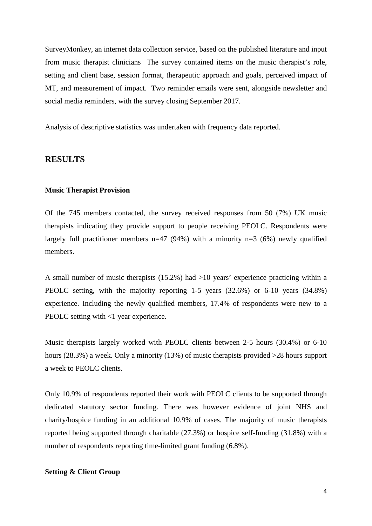SurveyMonkey, an internet data collection service, based on the published literature and input from music therapist clinicians The survey contained items on the music therapist's role, setting and client base, session format, therapeutic approach and goals, perceived impact of MT, and measurement of impact. Two reminder emails were sent, alongside newsletter and social media reminders, with the survey closing September 2017.

Analysis of descriptive statistics was undertaken with frequency data reported.

### **RESULTS**

#### **Music Therapist Provision**

Of the 745 members contacted, the survey received responses from 50 (7%) UK music therapists indicating they provide support to people receiving PEOLC. Respondents were largely full practitioner members  $n=47$  (94%) with a minority  $n=3$  (6%) newly qualified members.

A small number of music therapists (15.2%) had >10 years' experience practicing within a PEOLC setting, with the majority reporting 1-5 years (32.6%) or 6-10 years (34.8%) experience. Including the newly qualified members, 17.4% of respondents were new to a PEOLC setting with <1 year experience.

Music therapists largely worked with PEOLC clients between 2-5 hours (30.4%) or 6-10 hours (28.3%) a week. Only a minority (13%) of music therapists provided  $>28$  hours support a week to PEOLC clients.

Only 10.9% of respondents reported their work with PEOLC clients to be supported through dedicated statutory sector funding. There was however evidence of joint NHS and charity/hospice funding in an additional 10.9% of cases. The majority of music therapists reported being supported through charitable (27.3%) or hospice self-funding (31.8%) with a number of respondents reporting time-limited grant funding (6.8%).

### **Setting & Client Group**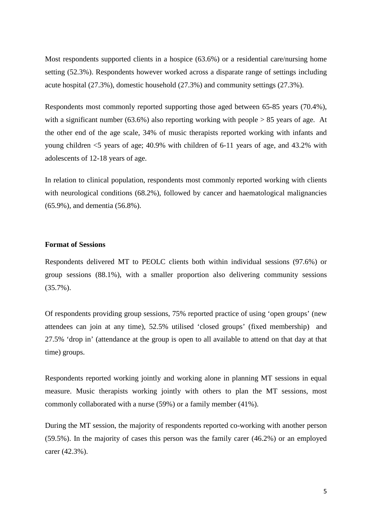Most respondents supported clients in a hospice (63.6%) or a residential care/nursing home setting (52.3%). Respondents however worked across a disparate range of settings including acute hospital (27.3%), domestic household (27.3%) and community settings (27.3%).

Respondents most commonly reported supporting those aged between 65-85 years (70.4%), with a significant number (63.6%) also reporting working with people  $> 85$  years of age. At the other end of the age scale, 34% of music therapists reported working with infants and young children <5 years of age; 40.9% with children of 6-11 years of age, and 43.2% with adolescents of 12-18 years of age.

In relation to clinical population, respondents most commonly reported working with clients with neurological conditions (68.2%), followed by cancer and haematological malignancies (65.9%), and dementia (56.8%).

### **Format of Sessions**

Respondents delivered MT to PEOLC clients both within individual sessions (97.6%) or group sessions (88.1%), with a smaller proportion also delivering community sessions (35.7%).

Of respondents providing group sessions, 75% reported practice of using 'open groups' (new attendees can join at any time), 52.5% utilised 'closed groups' (fixed membership) and 27.5% 'drop in' (attendance at the group is open to all available to attend on that day at that time) groups.

Respondents reported working jointly and working alone in planning MT sessions in equal measure. Music therapists working jointly with others to plan the MT sessions, most commonly collaborated with a nurse (59%) or a family member (41%).

During the MT session, the majority of respondents reported co-working with another person (59.5%). In the majority of cases this person was the family carer (46.2%) or an employed carer (42.3%).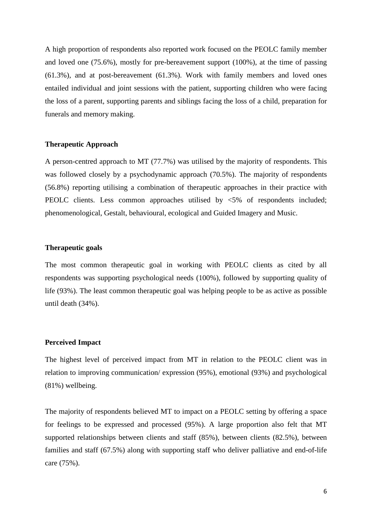A high proportion of respondents also reported work focused on the PEOLC family member and loved one (75.6%), mostly for pre-bereavement support (100%), at the time of passing (61.3%), and at post-bereavement (61.3%). Work with family members and loved ones entailed individual and joint sessions with the patient, supporting children who were facing the loss of a parent, supporting parents and siblings facing the loss of a child, preparation for funerals and memory making.

### **Therapeutic Approach**

A person-centred approach to MT (77.7%) was utilised by the majority of respondents. This was followed closely by a psychodynamic approach (70.5%). The majority of respondents (56.8%) reporting utilising a combination of therapeutic approaches in their practice with PEOLC clients. Less common approaches utilised by <5% of respondents included; phenomenological, Gestalt, behavioural, ecological and Guided Imagery and Music.

### **Therapeutic goals**

The most common therapeutic goal in working with PEOLC clients as cited by all respondents was supporting psychological needs (100%), followed by supporting quality of life (93%). The least common therapeutic goal was helping people to be as active as possible until death (34%).

#### **Perceived Impact**

The highest level of perceived impact from MT in relation to the PEOLC client was in relation to improving communication/ expression (95%), emotional (93%) and psychological (81%) wellbeing.

The majority of respondents believed MT to impact on a PEOLC setting by offering a space for feelings to be expressed and processed (95%). A large proportion also felt that MT supported relationships between clients and staff (85%), between clients (82.5%), between families and staff (67.5%) along with supporting staff who deliver palliative and end-of-life care (75%).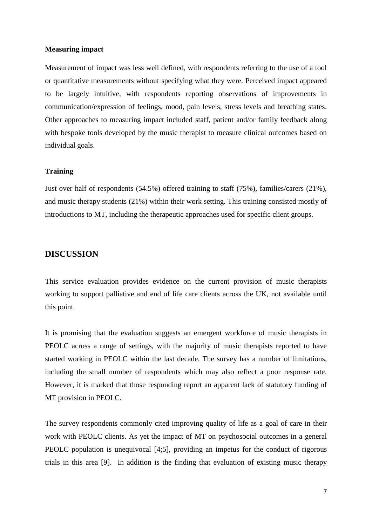#### **Measuring impact**

Measurement of impact was less well defined, with respondents referring to the use of a tool or quantitative measurements without specifying what they were. Perceived impact appeared to be largely intuitive, with respondents reporting observations of improvements in communication/expression of feelings, mood, pain levels, stress levels and breathing states. Other approaches to measuring impact included staff, patient and/or family feedback along with bespoke tools developed by the music therapist to measure clinical outcomes based on individual goals.

### **Training**

Just over half of respondents (54.5%) offered training to staff (75%), families/carers (21%), and music therapy students (21%) within their work setting. This training consisted mostly of introductions to MT, including the therapeutic approaches used for specific client groups.

# **DISCUSSION**

This service evaluation provides evidence on the current provision of music therapists working to support palliative and end of life care clients across the UK, not available until this point.

It is promising that the evaluation suggests an emergent workforce of music therapists in PEOLC across a range of settings, with the majority of music therapists reported to have started working in PEOLC within the last decade. The survey has a number of limitations, including the small number of respondents which may also reflect a poor response rate. However, it is marked that those responding report an apparent lack of statutory funding of MT provision in PEOLC.

The survey respondents commonly cited improving quality of life as a goal of care in their work with PEOLC clients. As yet the impact of MT on psychosocial outcomes in a general PEOLC population is unequivocal [4;5], providing an impetus for the conduct of rigorous trials in this area [9]. In addition is the finding that evaluation of existing music therapy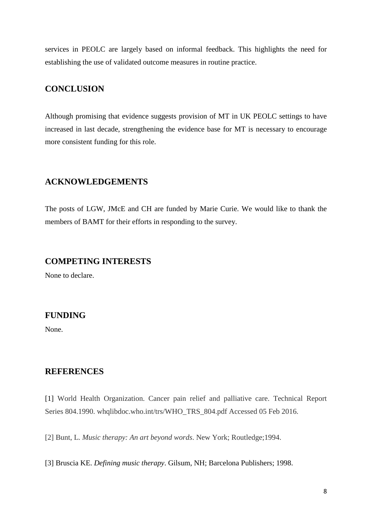services in PEOLC are largely based on informal feedback. This highlights the need for establishing the use of validated outcome measures in routine practice.

# **CONCLUSION**

Although promising that evidence suggests provision of MT in UK PEOLC settings to have increased in last decade, strengthening the evidence base for MT is necessary to encourage more consistent funding for this role.

# **ACKNOWLEDGEMENTS**

The posts of LGW, JMcE and CH are funded by Marie Curie. We would like to thank the members of BAMT for their efforts in responding to the survey.

## **COMPETING INTERESTS**

None to declare.

# **FUNDING**

None.

# **REFERENCES**

[1] World Health Organization. Cancer pain relief and palliative care. Technical Report Series 804.1990. whqlibdoc.who.int/trs/WHO\_TRS\_804.pdf Accessed 05 Feb 2016.

[2] Bunt, L. *Music therapy: An art beyond words*. New York; Routledge;1994.

[3] Bruscia KE. *Defining music therapy*. Gilsum, NH; Barcelona Publishers; 1998.